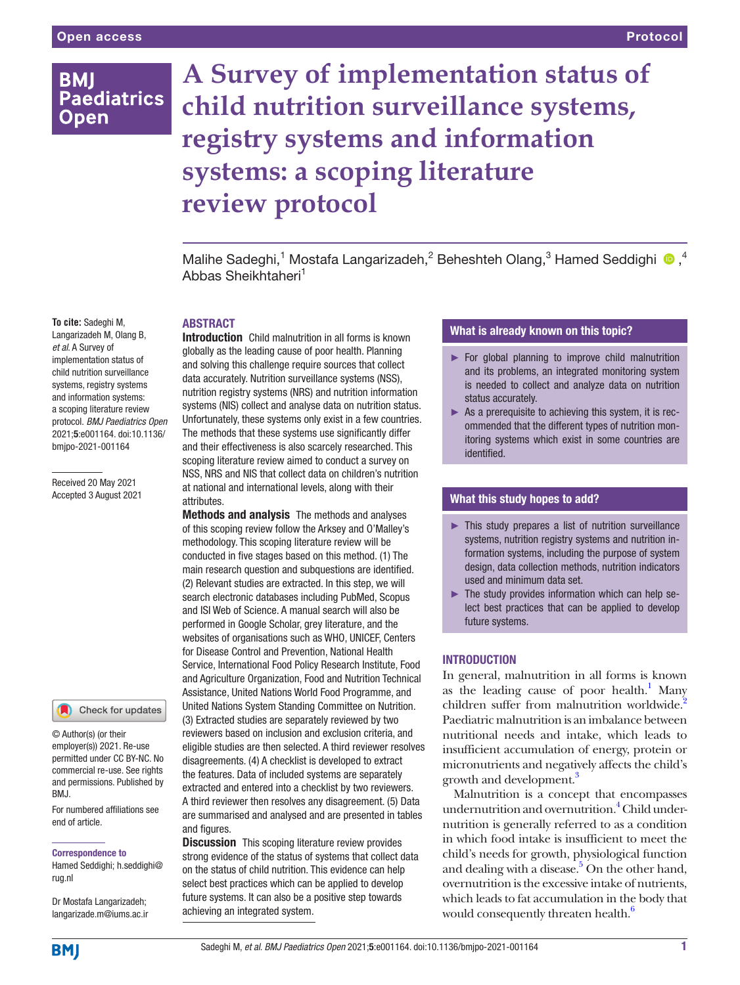## **BMI Paediatrics Open**

# **A Survey of implementation status of child nutrition surveillance systems, registry systems and information systems: a scoping literature review protocol**

Malihe Sadeghi,<sup>1</sup> Mostafa Langarizadeh,<sup>2</sup> Beheshteh Olang,<sup>3</sup> Hamed Seddighi <sup>®</sup>,<sup>4</sup> Abbas Sheikhtaheri<sup>1</sup>

#### **To cite:** Sadeghi M,

**ARSTRACT** 

Langarizadeh M, Olang B, *et al*. A Survey of implementation status of child nutrition surveillance systems, registry systems and information systems: a scoping literature review protocol. *BMJ Paediatrics Open* 2021;5:e001164. doi:10.1136/ bmjpo-2021-001164

Received 20 May 2021 Accepted 3 August 2021

#### Check for updates

© Author(s) (or their employer(s)) 2021. Re-use permitted under CC BY-NC. No commercial re-use. See rights and permissions. Published by RM<sub>J</sub>

For numbered affiliations see end of article.

#### Correspondence to

Hamed Seddighi; h.seddighi@ rug.nl

Dr Mostafa Langarizadeh; langarizade.m@iums.ac.ir

Introduction Child malnutrition in all forms is known globally as the leading cause of poor health. Planning and solving this challenge require sources that collect data accurately. Nutrition surveillance systems (NSS), nutrition registry systems (NRS) and nutrition information systems (NIS) collect and analyse data on nutrition status. Unfortunately, these systems only exist in a few countries. The methods that these systems use significantly differ and their effectiveness is also scarcely researched. This scoping literature review aimed to conduct a survey on NSS, NRS and NIS that collect data on children's nutrition at national and international levels, along with their attributes.

Methods and analysis The methods and analyses of this scoping review follow the Arksey and O'Malley's methodology. This scoping literature review will be conducted in five stages based on this method. (1) The main research question and subquestions are identified. (2) Relevant studies are extracted. In this step, we will search electronic databases including PubMed, Scopus and ISI Web of Science. A manual search will also be performed in Google Scholar, grey literature, and the websites of organisations such as WHO, UNICEF, Centers for Disease Control and Prevention, National Health Service, International Food Policy Research Institute, Food and Agriculture Organization, Food and Nutrition Technical Assistance, United Nations World Food Programme, and United Nations System Standing Committee on Nutrition. (3) Extracted studies are separately reviewed by two reviewers based on inclusion and exclusion criteria, and eligible studies are then selected. A third reviewer resolves disagreements. (4) A checklist is developed to extract the features. Data of included systems are separately extracted and entered into a checklist by two reviewers. A third reviewer then resolves any disagreement. (5) Data are summarised and analysed and are presented in tables and figures.

**Discussion** This scoping literature review provides strong evidence of the status of systems that collect data on the status of child nutrition. This evidence can help select best practices which can be applied to develop future systems. It can also be a positive step towards achieving an integrated system.

## What is already known on this topic?

- ► For global planning to improve child malnutrition and its problems, an integrated monitoring system is needed to collect and analyze data on nutrition status accurately.
- ► As a prerequisite to achieving this system, it is recommended that the different types of nutrition monitoring systems which exist in some countries are identified.

## What this study hopes to add?

- ► This study prepares a list of nutrition surveillance systems, nutrition registry systems and nutrition information systems, including the purpose of system design, data collection methods, nutrition indicators used and minimum data set.
- $\blacktriangleright$  The study provides information which can help select best practices that can be applied to develop future systems.

#### INTRODUCTION

In general, malnutrition in all forms is known as the leading cause of poor health.<sup>1</sup> Many children suffer from malnutrition worldwide.<sup>2</sup> Paediatric malnutrition is an imbalance between nutritional needs and intake, which leads to insufficient accumulation of energy, protein or micronutrients and negatively affects the child's growth and development.<sup>3</sup>

Malnutrition is a concept that encompasses undernutrition and overnutrition.<sup>4</sup> Child undernutrition is generally referred to as a condition in which food intake is insufficient to meet the child's needs for growth, physiological function and dealing with a disease.<sup>5</sup> On the other hand, overnutrition is the excessive intake of nutrients, which leads to fat accumulation in the body that would consequently threaten health.<sup>6</sup>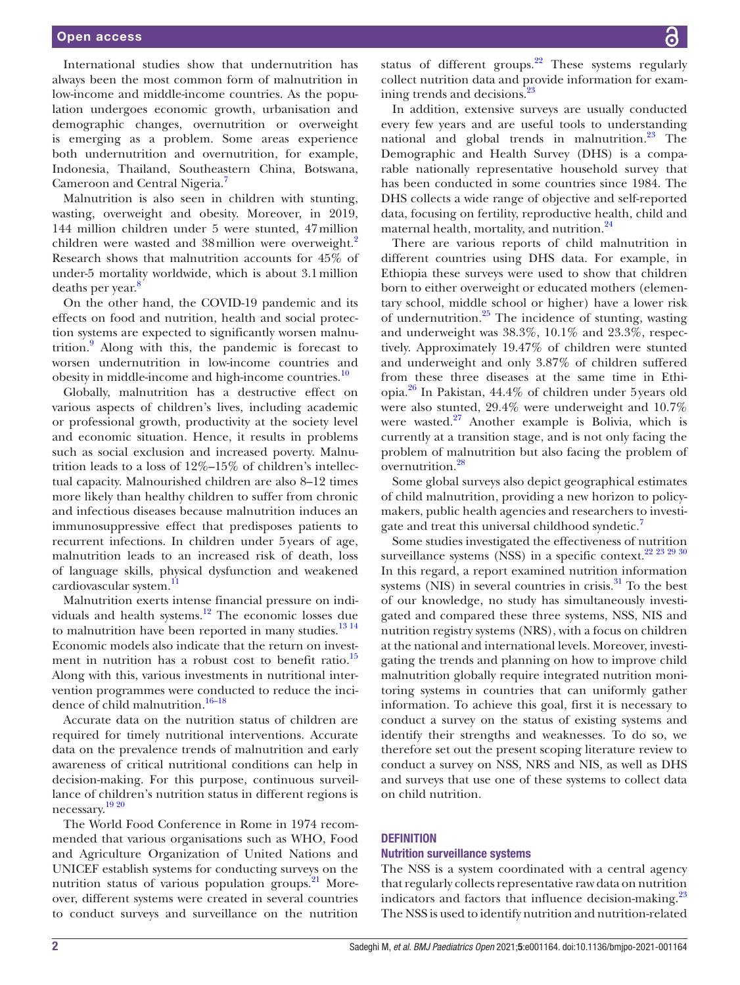International studies show that undernutrition has always been the most common form of malnutrition in low-income and middle-income countries. As the population undergoes economic growth, urbanisation and demographic changes, overnutrition or overweight is emerging as a problem. Some areas experience both undernutrition and overnutrition, for example, Indonesia, Thailand, Southeastern China, Botswana, Cameroon and Central Nigeria.<sup>7</sup>

Malnutrition is also seen in children with stunting, wasting, overweight and obesity. Moreover, in 2019, 144 million children under 5 were stunted, 47million children were wasted and 38 million were overweight.<sup>[2](#page-4-0)</sup> Research shows that malnutrition accounts for 45% of under-5 mortality worldwide, which is about 3.1million deaths per year. $\frac{8}{3}$  $\frac{8}{3}$  $\frac{8}{3}$ 

On the other hand, the COVID-19 pandemic and its effects on food and nutrition, health and social protection systems are expected to significantly worsen malnutrition[.9](#page-4-2) Along with this, the pandemic is forecast to worsen undernutrition in low-income countries and obesity in middle-income and high-income countries.<sup>10</sup>

Globally, malnutrition has a destructive effect on various aspects of children's lives, including academic or professional growth, productivity at the society level and economic situation. Hence, it results in problems such as social exclusion and increased poverty. Malnutrition leads to a loss of 12%–15% of children's intellectual capacity. Malnourished children are also 8–12 times more likely than healthy children to suffer from chronic and infectious diseases because malnutrition induces an immunosuppressive effect that predisposes patients to recurrent infections. In children under 5years of age, malnutrition leads to an increased risk of death, loss of language skills, physical dysfunction and weakened cardiovascular system.<sup>[11](#page-4-4)</sup>

Malnutrition exerts intense financial pressure on individuals and health systems.[12](#page-4-5) The economic losses due to malnutrition have been reported in many studies. $1314$ Economic models also indicate that the return on investment in nutrition has a robust cost to benefit ratio. $15$ Along with this, various investments in nutritional intervention programmes were conducted to reduce the inci-dence of child malnutrition.<sup>[16–18](#page-4-8)</sup>

Accurate data on the nutrition status of children are required for timely nutritional interventions. Accurate data on the prevalence trends of malnutrition and early awareness of critical nutritional conditions can help in decision-making. For this purpose, continuous surveillance of children's nutrition status in different regions is necessary.[19 20](#page-4-9)

The World Food Conference in Rome in 1974 recommended that various organisations such as WHO, Food and Agriculture Organization of United Nations and UNICEF establish systems for conducting surveys on the nutrition status of various population groups. $^{21}$  Moreover, different systems were created in several countries to conduct surveys and surveillance on the nutrition

status of different groups. $22$  These systems regularly collect nutrition data and provide information for examining trends and decisions. $^{23}$ 

In addition, extensive surveys are usually conducted every few years and are useful tools to understanding national and global trends in malnutrition. $23$  The Demographic and Health Survey (DHS) is a comparable nationally representative household survey that has been conducted in some countries since 1984. The DHS collects a wide range of objective and self-reported data, focusing on fertility, reproductive health, child and maternal health, mortality, and nutrition.<sup>[24](#page-4-13)</sup>

There are various reports of child malnutrition in different countries using DHS data. For example, in Ethiopia these surveys were used to show that children born to either overweight or educated mothers (elementary school, middle school or higher) have a lower risk of undernutrition. $^{25}$  The incidence of stunting, wasting and underweight was 38.3%, 10.1% and 23.3%, respectively. Approximately 19.47% of children were stunted and underweight and only 3.87% of children suffered from these three diseases at the same time in Ethiopia.[26](#page-4-15) In Pakistan, 44.4% of children under 5years old were also stunted, 29.4% were underweight and 10.7% were wasted. $27$  Another example is Bolivia, which is currently at a transition stage, and is not only facing the problem of malnutrition but also facing the problem of overnutrition.<sup>[28](#page-4-17)</sup>

Some global surveys also depict geographical estimates of child malnutrition, providing a new horizon to policymakers, public health agencies and researchers to investi-gate and treat this universal childhood syndetic.<sup>[7](#page-4-18)</sup>

Some studies investigated the effectiveness of nutrition surveillance systems (NSS) in a specific context.<sup>22</sup> <sup>23</sup> <sup>29</sup> <sup>30</sup> In this regard, a report examined nutrition information systems (NIS) in several countries in crisis. $31$  To the best of our knowledge, no study has simultaneously investigated and compared these three systems, NSS, NIS and nutrition registry systems (NRS), with a focus on children at the national and international levels. Moreover, investigating the trends and planning on how to improve child malnutrition globally require integrated nutrition monitoring systems in countries that can uniformly gather information. To achieve this goal, first it is necessary to conduct a survey on the status of existing systems and identify their strengths and weaknesses. To do so, we therefore set out the present scoping literature review to conduct a survey on NSS, NRS and NIS, as well as DHS and surveys that use one of these systems to collect data on child nutrition.

#### **DEFINITION**

#### Nutrition surveillance systems

The NSS is a system coordinated with a central agency that regularly collects representative raw data on nutrition indicators and factors that influence decision-making.<sup>[23](#page-4-12)</sup> The NSS is used to identify nutrition and nutrition-related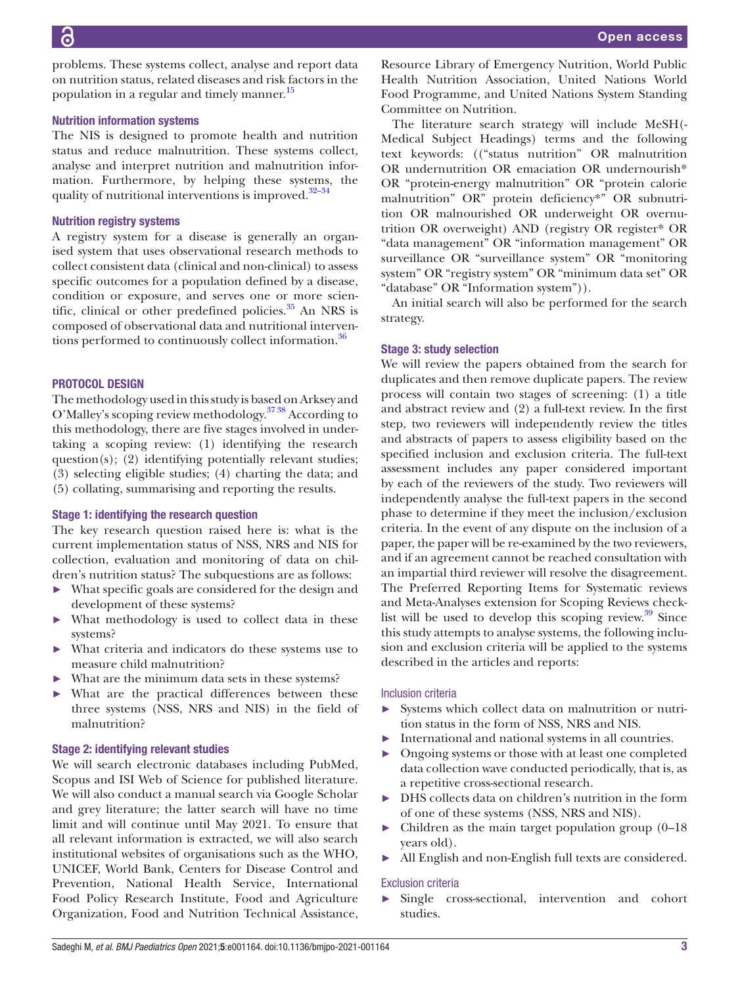problems. These systems collect, analyse and report data on nutrition status, related diseases and risk factors in the population in a regular and timely manner.<sup>[15](#page-4-7)</sup>

## Nutrition information systems

The NIS is designed to promote health and nutrition status and reduce malnutrition. These systems collect, analyse and interpret nutrition and malnutrition information. Furthermore, by helping these systems, the quality of nutritional interventions is improved.<sup>32-34</sup>

## Nutrition registry systems

A registry system for a disease is generally an organised system that uses observational research methods to collect consistent data (clinical and non-clinical) to assess specific outcomes for a population defined by a disease, condition or exposure, and serves one or more scientific, clinical or other predefined policies. $35$  An NRS is composed of observational data and nutritional interventions performed to continuously collect information.<sup>36</sup>

## PROTOCOL DESIGN

The methodology used in this study is based on Arksey and O'Malley's scoping review methodology.<sup>37</sup> 38 According to this methodology, there are five stages involved in undertaking a scoping review: (1) identifying the research question(s); (2) identifying potentially relevant studies; (3) selecting eligible studies; (4) charting the data; and (5) collating, summarising and reporting the results.

## Stage 1: identifying the research question

The key research question raised here is: what is the current implementation status of NSS, NRS and NIS for collection, evaluation and monitoring of data on children's nutrition status? The subquestions are as follows:

- What specific goals are considered for the design and development of these systems?
- ► What methodology is used to collect data in these systems?
- ► What criteria and indicators do these systems use to measure child malnutrition?
- What are the minimum data sets in these systems?
- ► What are the practical differences between these three systems (NSS, NRS and NIS) in the field of malnutrition?

## Stage 2: identifying relevant studies

We will search electronic databases including PubMed, Scopus and ISI Web of Science for published literature. We will also conduct a manual search via Google Scholar and grey literature; the latter search will have no time limit and will continue until May 2021. To ensure that all relevant information is extracted, we will also search institutional websites of organisations such as the WHO, UNICEF, World Bank, Centers for Disease Control and Prevention, National Health Service, International Food Policy Research Institute, Food and Agriculture Organization, Food and Nutrition Technical Assistance,

Resource Library of Emergency Nutrition, World Public Health Nutrition Association, United Nations World Food Programme, and United Nations System Standing Committee on Nutrition.

The literature search strategy will include MeSH(- Medical Subject Headings) terms and the following text keywords: (("status nutrition" OR malnutrition OR undernutrition OR emaciation OR undernourish\* OR "protein-energy malnutrition" OR "protein calorie malnutrition" OR" protein deficiency\*" OR subnutrition OR malnourished OR underweight OR overnutrition OR overweight) AND (registry OR register\* OR "data management" OR "information management" OR surveillance OR "surveillance system" OR "monitoring system" OR "registry system" OR "minimum data set" OR "database" OR "Information system")).

An initial search will also be performed for the search strategy.

## Stage 3: study selection

We will review the papers obtained from the search for duplicates and then remove duplicate papers. The review process will contain two stages of screening: (1) a title and abstract review and (2) a full-text review. In the first step, two reviewers will independently review the titles and abstracts of papers to assess eligibility based on the specified inclusion and exclusion criteria. The full-text assessment includes any paper considered important by each of the reviewers of the study. Two reviewers will independently analyse the full-text papers in the second phase to determine if they meet the inclusion/exclusion criteria. In the event of any dispute on the inclusion of a paper, the paper will be re-examined by the two reviewers, and if an agreement cannot be reached consultation with an impartial third reviewer will resolve the disagreement. The Preferred Reporting Items for Systematic reviews and Meta-Analyses extension for Scoping Reviews checklist will be used to develop this scoping review. $\frac{39}{9}$  Since this study attempts to analyse systems, the following inclusion and exclusion criteria will be applied to the systems described in the articles and reports:

## Inclusion criteria

- Systems which collect data on malnutrition or nutrition status in the form of NSS, NRS and NIS.
- International and national systems in all countries.
- ► Ongoing systems or those with at least one completed data collection wave conducted periodically, that is, as a repetitive cross-sectional research.
- DHS collects data on children's nutrition in the form of one of these systems (NSS, NRS and NIS).
- $\blacktriangleright$  Children as the main target population group (0–18) years old).
- All English and non-English full texts are considered.

## Exclusion criteria

► Single cross-sectional, intervention and cohort studies.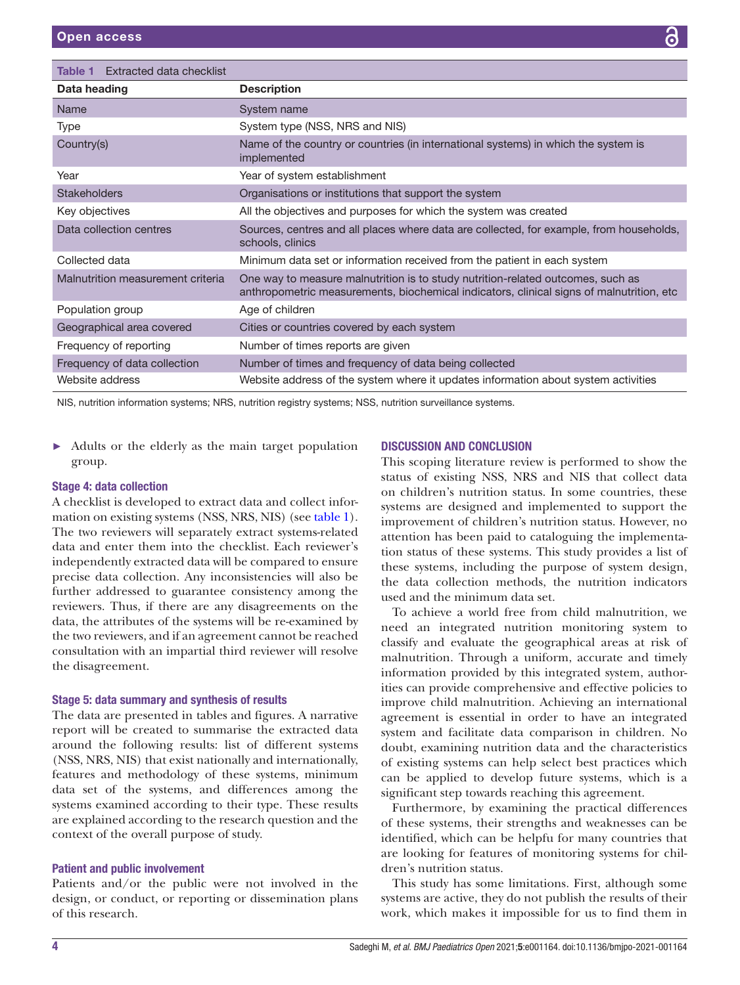<span id="page-3-0"></span>

| Extracted data checklist<br>Table 1 |                                                                                                                                                                             |
|-------------------------------------|-----------------------------------------------------------------------------------------------------------------------------------------------------------------------------|
| Data heading                        | <b>Description</b>                                                                                                                                                          |
| Name                                | System name                                                                                                                                                                 |
| Type                                | System type (NSS, NRS and NIS)                                                                                                                                              |
| Country(s)                          | Name of the country or countries (in international systems) in which the system is<br>implemented                                                                           |
| Year                                | Year of system establishment                                                                                                                                                |
| <b>Stakeholders</b>                 | Organisations or institutions that support the system                                                                                                                       |
| Key objectives                      | All the objectives and purposes for which the system was created                                                                                                            |
| Data collection centres             | Sources, centres and all places where data are collected, for example, from households,<br>schools, clinics                                                                 |
| Collected data                      | Minimum data set or information received from the patient in each system                                                                                                    |
| Malnutrition measurement criteria   | One way to measure malnutrition is to study nutrition-related outcomes, such as<br>anthropometric measurements, biochemical indicators, clinical signs of malnutrition, etc |
| Population group                    | Age of children                                                                                                                                                             |
| Geographical area covered           | Cities or countries covered by each system                                                                                                                                  |
| Frequency of reporting              | Number of times reports are given                                                                                                                                           |
| Frequency of data collection        | Number of times and frequency of data being collected                                                                                                                       |
| Website address                     | Website address of the system where it updates information about system activities                                                                                          |

NIS, nutrition information systems; NRS, nutrition registry systems; NSS, nutrition surveillance systems.

► Adults or the elderly as the main target population group.

## Stage 4: data collection

A checklist is developed to extract data and collect information on existing systems (NSS, NRS, NIS) (see [table](#page-3-0) 1). The two reviewers will separately extract systems-related data and enter them into the checklist. Each reviewer's independently extracted data will be compared to ensure precise data collection. Any inconsistencies will also be further addressed to guarantee consistency among the reviewers. Thus, if there are any disagreements on the data, the attributes of the systems will be re-examined by the two reviewers, and if an agreement cannot be reached consultation with an impartial third reviewer will resolve the disagreement.

## Stage 5: data summary and synthesis of results

The data are presented in tables and figures. A narrative report will be created to summarise the extracted data around the following results: list of different systems (NSS, NRS, NIS) that exist nationally and internationally, features and methodology of these systems, minimum data set of the systems, and differences among the systems examined according to their type. These results are explained according to the research question and the context of the overall purpose of study.

## Patient and public involvement

Patients and/or the public were not involved in the design, or conduct, or reporting or dissemination plans of this research.

#### DISCUSSION AND CONCLUSION

This scoping literature review is performed to show the status of existing NSS, NRS and NIS that collect data on children's nutrition status. In some countries, these systems are designed and implemented to support the improvement of children's nutrition status. However, no attention has been paid to cataloguing the implementation status of these systems. This study provides a list of these systems, including the purpose of system design, the data collection methods, the nutrition indicators used and the minimum data set.

To achieve a world free from child malnutrition, we need an integrated nutrition monitoring system to classify and evaluate the geographical areas at risk of malnutrition. Through a uniform, accurate and timely information provided by this integrated system, authorities can provide comprehensive and effective policies to improve child malnutrition. Achieving an international agreement is essential in order to have an integrated system and facilitate data comparison in children. No doubt, examining nutrition data and the characteristics of existing systems can help select best practices which can be applied to develop future systems, which is a significant step towards reaching this agreement.

Furthermore, by examining the practical differences of these systems, their strengths and weaknesses can be identified, which can be helpfu for many countries that are looking for features of monitoring systems for children's nutrition status.

This study has some limitations. First, although some systems are active, they do not publish the results of their work, which makes it impossible for us to find them in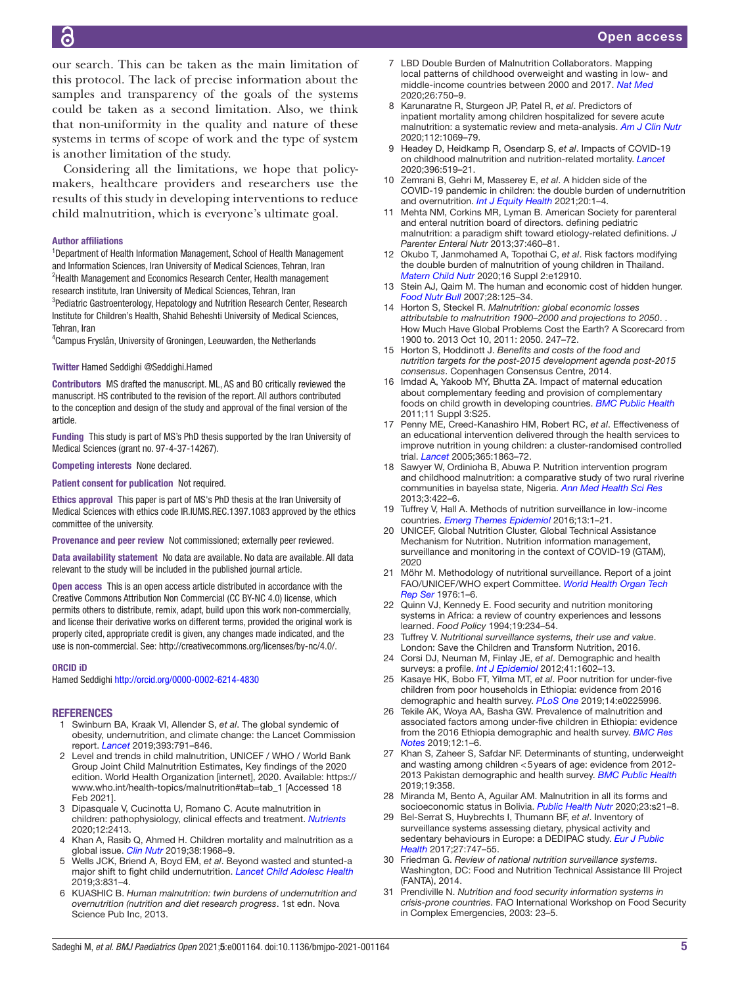our search. This can be taken as the main limitation of this protocol. The lack of precise information about the samples and transparency of the goals of the systems could be taken as a second limitation. Also, we think that non-uniformity in the quality and nature of these systems in terms of scope of work and the type of system is another limitation of the study.

Considering all the limitations, we hope that policymakers, healthcare providers and researchers use the results of this study in developing interventions to reduce child malnutrition, which is everyone's ultimate goal.

#### Author affiliations

<sup>1</sup>Department of Health Information Management, School of Health Management and Information Sciences, Iran University of Medical Sciences, Tehran, Iran <sup>2</sup>Health Management and Economics Research Center, Health management research institute, Iran University of Medical Sciences, Tehran, Iran <sup>3</sup>Pediatric Gastroenterology, Hepatology and Nutrition Research Center, Research Institute for Children's Health, Shahid Beheshti University of Medical Sciences, Tehran, Iran

4 Campus Fryslân, University of Groningen, Leeuwarden, the Netherlands

#### Twitter Hamed Seddighi [@Seddighi.Hamed](https://twitter.com/Seddighi.Hamed)

Contributors MS drafted the manuscript. ML, AS and BO critically reviewed the manuscript. HS contributed to the revision of the report. All authors contributed to the conception and design of the study and approval of the final version of the article.

Funding This study is part of MS's PhD thesis supported by the Iran University of Medical Sciences (grant no. 97-4-37-14267).

Competing interests None declared.

Patient consent for publication Not required.

Ethics approval This paper is part of MS's PhD thesis at the Iran University of Medical Sciences with ethics code IR.IUMS.REC.1397.1083 approved by the ethics committee of the university.

Provenance and peer review Not commissioned; externally peer reviewed.

Data availability statement No data are available. No data are available. All data relevant to the study will be included in the published journal article.

Open access This is an open access article distributed in accordance with the Creative Commons Attribution Non Commercial (CC BY-NC 4.0) license, which permits others to distribute, remix, adapt, build upon this work non-commercially, and license their derivative works on different terms, provided the original work is properly cited, appropriate credit is given, any changes made indicated, and the use is non-commercial. See:<http://creativecommons.org/licenses/by-nc/4.0/>.

#### ORCID iD

Hamed Seddighi<http://orcid.org/0000-0002-6214-4830>

#### **REFERENCES**

- 1 Swinburn BA, Kraak VI, Allender S, *et al*. The global syndemic of obesity, undernutrition, and climate change: the Lancet Commission report. *[Lancet](http://dx.doi.org/10.1016/S0140-6736(18)32822-8)* 2019;393:791–846.
- <span id="page-4-0"></span>Level and trends in child malnutrition, UNICEF / WHO / World Bank Group Joint Child Malnutrition Estimates, Key findings of the 2020 edition. World Health Organization [internet], 2020. Available: [https://](https://www.who.int/health-topics/malnutrition#tab=tab_1) [www.who.int/health-topics/malnutrition#tab=tab\\_1](https://www.who.int/health-topics/malnutrition#tab=tab_1) [Accessed 18 Feb 2021].
- 3 Dipasquale V, Cucinotta U, Romano C. Acute malnutrition in children: pathophysiology, clinical effects and treatment. *[Nutrients](http://dx.doi.org/10.3390/nu12082413)* 2020;12:2413.
- 4 Khan A, Rasib Q, Ahmed H. Children mortality and malnutrition as a global issue. *[Clin Nutr](http://dx.doi.org/10.1016/j.clnu.2019.03.035)* 2019;38:1968–9.
- 5 Wells JCK, Briend A, Boyd EM, *et al*. Beyond wasted and stunted-a major shift to fight child undernutrition. *[Lancet Child Adolesc Health](http://dx.doi.org/10.1016/S2352-4642(19)30244-5)* 2019;3:831–4.
- 6 KUASHIC B. *Human malnutrition: twin burdens of undernutrition and overnutrition (nutrition and diet research progress*. 1st edn. Nova Science Pub Inc, 2013.
- <span id="page-4-18"></span>7 LBD Double Burden of Malnutrition Collaborators. Mapping local patterns of childhood overweight and wasting in low- and middle-income countries between 2000 and 2017. *[Nat Med](http://dx.doi.org/10.1038/s41591-020-0807-6)* 2020;26:750–9.
- <span id="page-4-1"></span>8 Karunaratne R, Sturgeon JP, Patel R, *et al*. Predictors of inpatient mortality among children hospitalized for severe acute malnutrition: a systematic review and meta-analysis. *[Am J Clin Nutr](http://dx.doi.org/10.1093/ajcn/nqaa182)* 2020;112:1069–79.
- <span id="page-4-2"></span>9 Headey D, Heidkamp R, Osendarp S, *et al*. Impacts of COVID-19 on childhood malnutrition and nutrition-related mortality. *[Lancet](http://dx.doi.org/10.1016/S0140-6736(20)31647-0)* 2020;396:519–21.
- <span id="page-4-3"></span>10 Zemrani B, Gehri M, Masserey E, *et al*. A hidden side of the COVID-19 pandemic in children: the double burden of undernutrition and overnutrition. *[Int J Equity Health](http://dx.doi.org/10.1186/s12939-021-01390-w)* 2021;20:1–4.
- <span id="page-4-4"></span>11 Mehta NM, Corkins MR, Lyman B. American Society for parenteral and enteral nutrition board of directors. defining pediatric malnutrition: a paradigm shift toward etiology-related definitions. *J Parenter Enteral Nutr* 2013;37:460–81.
- <span id="page-4-5"></span>12 Okubo T, Janmohamed A, Topothai C, *et al*. Risk factors modifying the double burden of malnutrition of young children in Thailand. *[Matern Child Nutr](http://dx.doi.org/10.1111/mcn.12910)* 2020;16 Suppl 2:e12910.
- <span id="page-4-6"></span>13 Stein AJ, Qaim M. The human and economic cost of hidden hunger. *[Food Nutr Bull](http://dx.doi.org/10.1177/156482650702800201)* 2007;28:125–34.
- 14 Horton S, Steckel R. *Malnutrition: global economic losses attributable to malnutrition 1900–2000 and projections to 2050*. . How Much Have Global Problems Cost the Earth? A Scorecard from 1900 to. 2013 Oct 10, 2011: 2050. 247–72.
- <span id="page-4-7"></span>15 Horton S, Hoddinott J. *Benefits and costs of the food and nutrition targets for the post-2015 development agenda post-2015 consensus*. Copenhagen Consensus Centre, 2014.
- <span id="page-4-8"></span>16 Imdad A, Yakoob MY, Bhutta ZA. Impact of maternal education about complementary feeding and provision of complementary foods on child growth in developing countries. *[BMC Public Health](http://dx.doi.org/10.1186/1471-2458-11-S3-S25)* 2011;11 Suppl 3:S25.
- 17 Penny ME, Creed-Kanashiro HM, Robert RC, *et al*. Effectiveness of an educational intervention delivered through the health services to improve nutrition in young children: a cluster-randomised controlled trial. *[Lancet](http://dx.doi.org/10.1016/S0140-6736(05)66426-4)* 2005;365:1863–72.
- 18 Sawyer W, Ordinioha B, Abuwa P. Nutrition intervention program and childhood malnutrition: a comparative study of two rural riverine communities in bayelsa state, Nigeria. *[Ann Med Health Sci Res](http://dx.doi.org/10.4103/2141-9248.117949)* 2013;3:422–6.
- <span id="page-4-9"></span>19 Tuffrey V, Hall A. Methods of nutrition surveillance in low-income countries. *[Emerg Themes Epidemiol](http://dx.doi.org/10.1186/s12982-016-0045-z)* 2016;13:1–21.
- 20 UNICEF, Global Nutrition Cluster, Global Technical Assistance Mechanism for Nutrition. Nutrition information management, surveillance and monitoring in the context of COVID-19 (GTAM), 2020
- <span id="page-4-10"></span>21 Möhr M. Methodology of nutritional surveillance. Report of a joint FAO/UNICEF/WHO expert Committee. *[World Health Organ Tech](http://www.ncbi.nlm.nih.gov/pubmed/822593)  [Rep Ser](http://www.ncbi.nlm.nih.gov/pubmed/822593)* 1976:1–6.
- <span id="page-4-11"></span>22 Quinn VJ, Kennedy E. Food security and nutrition monitoring systems in Africa: a review of country experiences and lessons learned. *Food Policy* 1994;19:234–54.
- <span id="page-4-12"></span>23 Tuffrey V. *Nutritional surveillance systems, their use and value*. London: Save the Children and Transform Nutrition, 2016.
- <span id="page-4-13"></span>24 Corsi DJ, Neuman M, Finlay JE, *et al*. Demographic and health surveys: a profile. *[Int J Epidemiol](http://dx.doi.org/10.1093/ije/dys184)* 2012;41:1602–13.
- <span id="page-4-14"></span>25 Kasaye HK, Bobo FT, Yilma MT, *et al*. Poor nutrition for under-five children from poor households in Ethiopia: evidence from 2016 demographic and health survey. *[PLoS One](http://dx.doi.org/10.1371/journal.pone.0225996)* 2019;14:e0225996.
- <span id="page-4-15"></span>26 Tekile AK, Woya AA, Basha GW. Prevalence of malnutrition and associated factors among under-five children in Ethiopia: evidence from the 2016 Ethiopia demographic and health survey. *[BMC Res](http://dx.doi.org/10.1186/s13104-019-4444-4)  [Notes](http://dx.doi.org/10.1186/s13104-019-4444-4)* 2019;12:1–6.
- <span id="page-4-16"></span>27 Khan S, Zaheer S, Safdar NF. Determinants of stunting, underweight and wasting among children <5years of age: evidence from 2012- 2013 Pakistan demographic and health survey. *[BMC Public Health](http://dx.doi.org/10.1186/s12889-019-6688-2)* 2019;19:358.
- <span id="page-4-17"></span>28 Miranda M, Bento A, Aguilar AM. Malnutrition in all its forms and socioeconomic status in Bolivia. *[Public Health Nutr](http://dx.doi.org/10.1017/S1368980019003896)* 2020;23:s21–8.
- 29 Bel-Serrat S, Huybrechts I, Thumann BF, *et al*. Inventory of surveillance systems assessing dietary, physical activity and sedentary behaviours in Europe: a DEDIPAC study. *[Eur J Public](http://dx.doi.org/10.1093/eurpub/ckx023)  [Health](http://dx.doi.org/10.1093/eurpub/ckx023)* 2017;27:747–55.
- 30 Friedman G. *Review of national nutrition surveillance systems*. Washington, DC: Food and Nutrition Technical Assistance III Project (FANTA), 2014.
- <span id="page-4-19"></span>31 Prendiville N. *Nutrition and food security information systems in crisis-prone countries*. FAO International Workshop on Food Security in Complex Emergencies, 2003: 23–5.